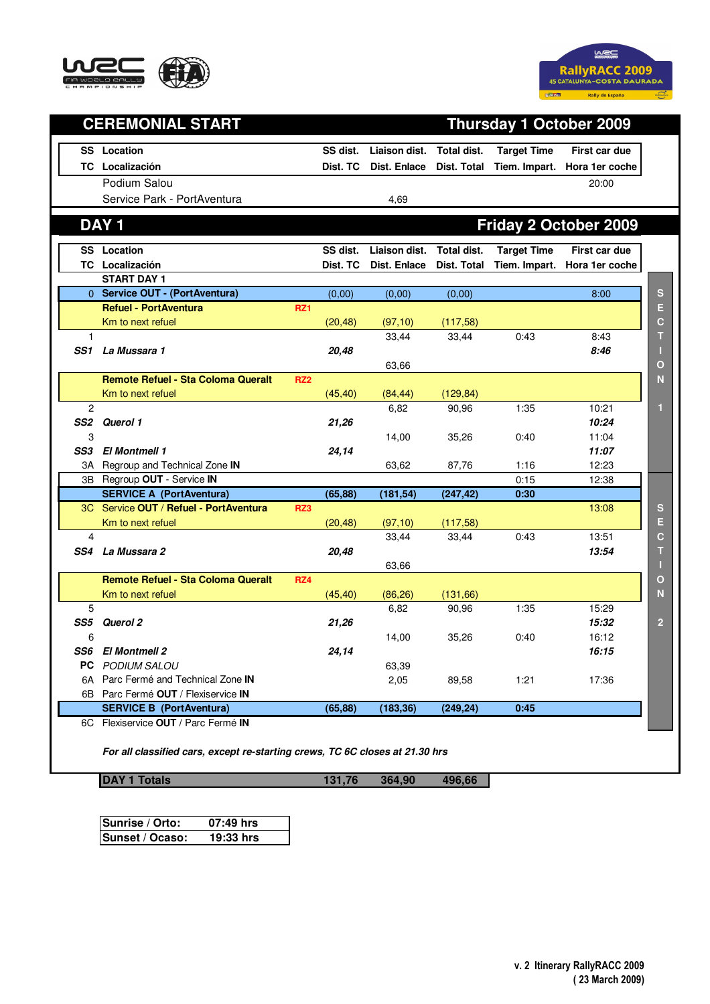



|                 | <b>CEREMONIAL START</b>                   | <b>Thursday 1 October 2009</b> |          |               |             |                    |                              |
|-----------------|-------------------------------------------|--------------------------------|----------|---------------|-------------|--------------------|------------------------------|
|                 | <b>SS</b> Location                        |                                | SS dist. | Liaison dist. | Total dist. | <b>Target Time</b> | First car due                |
|                 | TC Localización                           |                                | Dist. TC | Dist. Enlace  | Dist. Total |                    | Tiem. Impart. Hora 1er coche |
|                 | Podium Salou                              |                                |          |               |             |                    | 20:00                        |
|                 | Service Park - PortAventura               |                                |          | 4,69          |             |                    |                              |
|                 |                                           |                                |          |               |             |                    |                              |
|                 | <b>DAY1</b>                               |                                |          |               |             |                    | Friday 2 October 2009        |
|                 | <b>SS</b> Location                        |                                | SS dist. | Liaison dist. | Total dist. | <b>Target Time</b> | First car due                |
|                 | TC Localización                           |                                | Dist. TC | Dist. Enlace  | Dist. Total | Tiem. Impart.      | Hora 1er coche               |
|                 | <b>START DAY 1</b>                        |                                |          |               |             |                    |                              |
|                 | 0 Service OUT - (PortAventura)            |                                | (0,00)   | (0,00)        | (0,00)      |                    | 8:00                         |
|                 | <b>Refuel - PortAventura</b>              | <b>RZ1</b>                     |          |               |             |                    |                              |
|                 | Km to next refuel                         |                                | (20, 48) | (97, 10)      | (117,58)    |                    |                              |
| 1               |                                           |                                |          | 33,44         | 33,44       | 0:43               | 8:43                         |
| SS 1            | La Mussara 1                              |                                | 20,48    |               |             |                    | 8:46                         |
|                 |                                           |                                |          | 63,66         |             |                    |                              |
|                 | <b>Remote Refuel - Sta Coloma Queralt</b> | RZ <sub>2</sub>                |          |               |             |                    |                              |
|                 | Km to next refuel                         |                                | (45, 40) | (84, 44)      | (129, 84)   |                    |                              |
| 2               |                                           |                                |          | 6,82          | 90,96       | 1:35               | 10:21                        |
| SS <sub>2</sub> | Querol 1                                  |                                | 21,26    |               |             |                    | 10:24                        |
| 3<br>SS3        | <b>El Montmell 1</b>                      |                                |          | 14,00         | 35,26       | 0:40               | 11:04<br>11:07               |
|                 | Regroup and Technical Zone IN             |                                | 24,14    | 63,62         |             | 1:16               | 12:23                        |
| 3A              | 3B Regroup OUT - Service IN               |                                |          |               | 87,76       | 0:15               | 12:38                        |
|                 | <b>SERVICE A (PortAventura)</b>           |                                | (65, 88) | (181, 54)     | (247, 42)   | 0:30               |                              |
|                 | 3C Service OUT / Refuel - PortAventura    | RZ3                            |          |               |             |                    | 13:08                        |
|                 | Km to next refuel                         |                                | (20, 48) | (97, 10)      | (117,58)    |                    |                              |
| 4               |                                           |                                |          | 33,44         | 33,44       | 0:43               | 13:51                        |
| SS4             | La Mussara 2                              |                                | 20,48    |               |             |                    | 13:54                        |
|                 |                                           |                                |          | 63,66         |             |                    |                              |
|                 | <b>Remote Refuel - Sta Coloma Queralt</b> | RZ4                            |          |               |             |                    |                              |
|                 | Km to next refuel                         |                                | (45, 40) | (86, 26)      | (131, 66)   |                    |                              |
| 5               |                                           |                                |          | 6,82          | 90,96       | 1:35               | 15:29                        |
| SS5             | Querol 2                                  |                                | 21,26    |               |             |                    | 15:32                        |
| 6               |                                           |                                |          | 14,00         | 35,26       | 0:40               | 16:12                        |
|                 | SS6 El Montmell 2                         |                                | 24,14    |               |             |                    | 16:15                        |
|                 | PC PODIUM SALOU                           |                                |          | 63,39         |             |                    |                              |
|                 | 6A Parc Fermé and Technical Zone IN       |                                |          | 2,05          | 89,58       | 1:21               | 17:36                        |
|                 | 6B Parc Fermé OUT / Flexiservice IN       |                                |          |               |             |                    |                              |
|                 | <b>SERVICE B (PortAventura)</b>           |                                | (65, 88) | (183, 36)     | (249, 24)   | 0:45               |                              |
|                 | 6C Flexiservice OUT / Parc Fermé IN       |                                |          |               |             |                    |                              |

**DAY 1 Totals 131,76 364,90 496,66**

| Sunrise / Orto: | 07:49 hrs |
|-----------------|-----------|
| Sunset / Ocaso: | 19:33 hrs |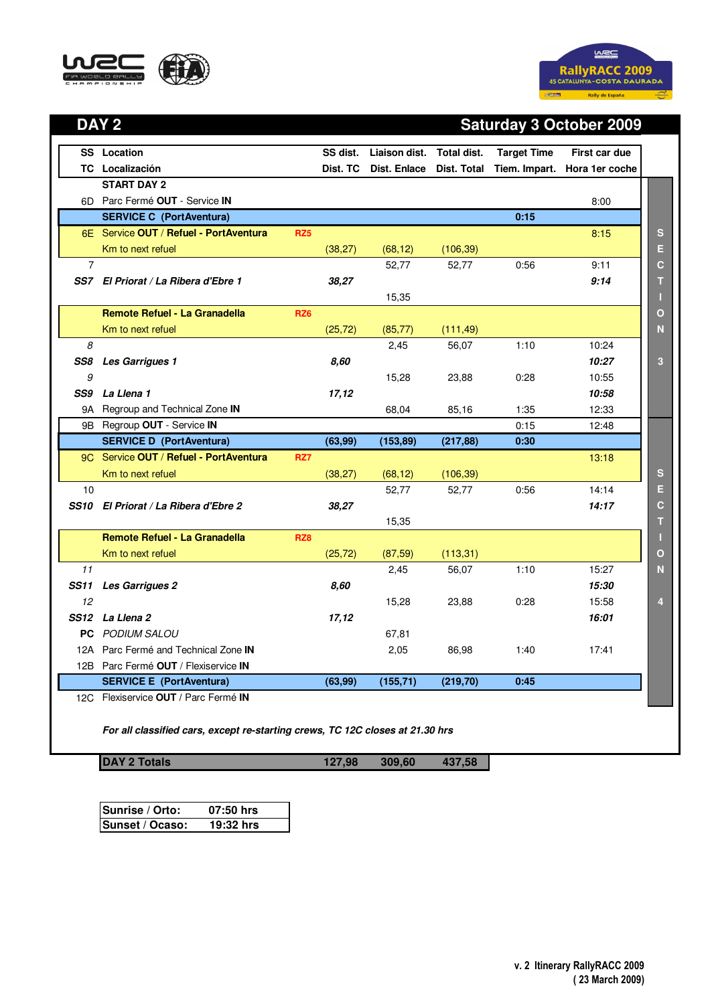



## **DAY 2 Saturday 3 October 2009**

|                | <b>SS</b> Location                                                            | SS dist. | Liaison dist. Total dist. |             | <b>Target Time</b> | First car due                |                |
|----------------|-------------------------------------------------------------------------------|----------|---------------------------|-------------|--------------------|------------------------------|----------------|
|                | <b>TC</b> Localización                                                        | Dist. TC | Dist. Enlace              | Dist. Total |                    | Tiem. Impart. Hora 1er coche |                |
|                | <b>START DAY 2</b>                                                            |          |                           |             |                    |                              |                |
|                | 6D Parc Fermé OUT - Service IN                                                |          |                           |             |                    | 8:00                         |                |
|                | <b>SERVICE C (PortAventura)</b>                                               |          |                           |             | 0:15               |                              |                |
|                | 6E Service OUT / Refuel - PortAventura<br>RZ <sub>5</sub>                     |          |                           |             |                    | 8:15                         | S              |
|                | Km to next refuel                                                             | (38, 27) | (68, 12)                  | (106, 39)   |                    |                              | E              |
| $\overline{7}$ |                                                                               |          | 52,77                     | 52,77       | 0:56               | 9:11                         | $\mathbf c$    |
|                | SS7 El Priorat / La Ribera d'Ebre 1                                           | 38,27    |                           |             |                    | 9:14                         | т              |
|                |                                                                               |          | 15,35                     |             |                    |                              |                |
|                | Remote Refuel - La Granadella<br>RZ <sub>6</sub>                              |          |                           |             |                    |                              | $\mathbf O$    |
|                | Km to next refuel                                                             | (25, 72) | (85, 77)                  | (111, 49)   |                    |                              | N              |
| 8              |                                                                               |          | 2,45                      | 56,07       | 1:10               | 10:24                        |                |
| SS8            | <b>Les Garrigues 1</b>                                                        | 8.60     |                           |             |                    | 10:27                        | 3              |
| 9              |                                                                               |          | 15,28                     | 23,88       | 0:28               | 10:55                        |                |
| SS9            | La Llena 1                                                                    | 17,12    |                           |             |                    | 10:58                        |                |
|                | 9A Regroup and Technical Zone IN                                              |          | 68,04                     | 85,16       | 1:35               | 12:33                        |                |
|                | 9B Regroup OUT - Service IN                                                   |          |                           |             | 0:15               | 12:48                        |                |
|                | <b>SERVICE D (PortAventura)</b>                                               | (63, 99) | (153, 89)                 | (217, 88)   | 0:30               |                              |                |
|                | 9C Service OUT / Refuel - PortAventura<br>RZ7                                 |          |                           |             |                    | 13:18                        |                |
|                | Km to next refuel                                                             | (38, 27) | (68, 12)                  | (106, 39)   |                    |                              | S              |
| 10             |                                                                               |          | 52,77                     | 52,77       | 0:56               | 14:14                        | E              |
|                | SS10 El Priorat / La Ribera d'Ebre 2                                          | 38,27    |                           |             |                    | 14:17                        | $\mathbf C$    |
|                |                                                                               |          | 15,35                     |             |                    |                              | т              |
|                | <b>Remote Refuel - La Granadella</b><br>RZ8                                   |          |                           |             |                    |                              | П              |
|                | Km to next refuel                                                             | (25, 72) | (87, 59)                  | (113, 31)   |                    |                              | $\mathbf O$    |
| 11             |                                                                               |          | 2,45                      | 56,07       | 1:10               | 15:27                        | N              |
| SS11           | <b>Les Garrigues 2</b>                                                        | 8,60     |                           |             |                    | 15:30                        |                |
| 12             |                                                                               |          | 15,28                     | 23,88       | 0:28               | 15:58                        | $\overline{4}$ |
|                | SS12 La Llena 2                                                               | 17,12    |                           |             |                    | 16:01                        |                |
|                | <b>PC</b> PODIUM SALOU                                                        |          | 67,81                     |             |                    |                              |                |
|                | 12A Parc Fermé and Technical Zone IN                                          |          | 2,05                      | 86,98       | 1:40               | 17:41                        |                |
|                | 12B Parc Fermé OUT / Flexiservice IN                                          |          |                           |             |                    |                              |                |
|                | <b>SERVICE E (PortAventura)</b><br>12C Flexiservice OUT / Parc Fermé IN       | (63, 99) | (155, 71)                 | (219, 70)   | 0:45               |                              |                |
|                | For all classified cars, except re-starting crews, TC 12C closes at 21.30 hrs |          |                           |             |                    |                              |                |

**DAY 2 Totals** 127,98 309,60 437,58

| Sunrise / Orto: | 07:50 hrs |
|-----------------|-----------|
| Sunset / Ocaso: | 19:32 hrs |